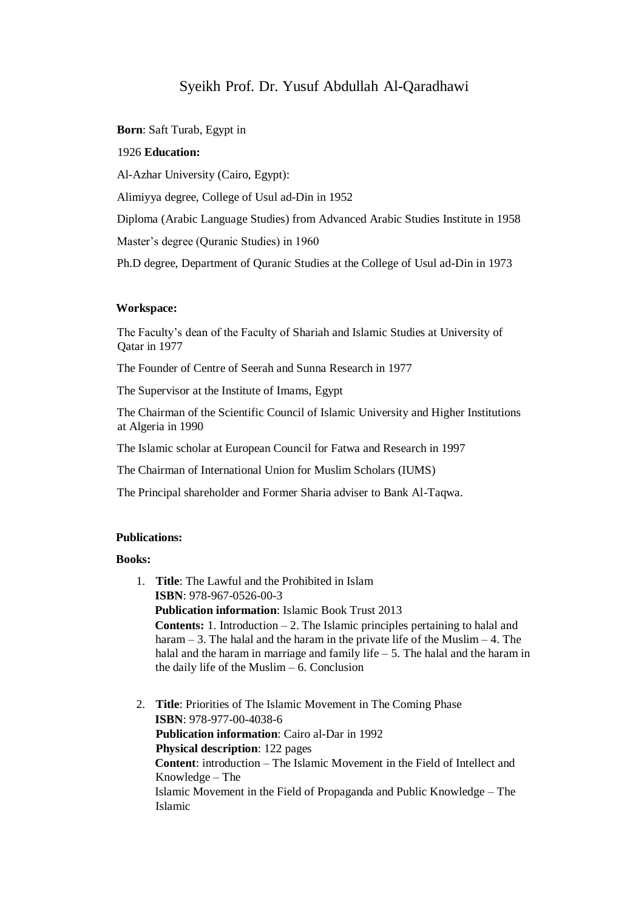# Syeikh Prof. Dr. Yusuf Abdullah Al-Qaradhawi

**Born**: Saft Turab, Egypt in

### 1926 **Education:**

Al-Azhar University (Cairo, Egypt):

Alimiyya degree, College of Usul ad-Din in 1952

Diploma (Arabic Language Studies) from Advanced Arabic Studies Institute in 1958

Master's degree (Quranic Studies) in 1960

Ph.D degree, Department of Quranic Studies at the College of Usul ad-Din in 1973

#### **Workspace:**

The Faculty's dean of the Faculty of Shariah and Islamic Studies at University of Qatar in 1977

The Founder of Centre of Seerah and Sunna Research in 1977

The Supervisor at the Institute of Imams, Egypt

The Chairman of the Scientific Council of Islamic University and Higher Institutions at Algeria in 1990

The Islamic scholar at European Council for Fatwa and Research in 1997

The Chairman of International Union for Muslim Scholars (IUMS)

The Principal shareholder and Former Sharia adviser to Bank Al-Taqwa.

## **Publications:**

#### **Books:**

- 1. **Title**: The Lawful and the Prohibited in Islam **ISBN**: 978-967-0526-00-3 **Publication information**: Islamic Book Trust 2013 **Contents:** 1. Introduction – 2. The Islamic principles pertaining to halal and haram – 3. The halal and the haram in the private life of the Muslim – 4. The halal and the haram in marriage and family life – 5. The halal and the haram in the daily life of the Muslim – 6. Conclusion
- 2. **Title**: Priorities of The Islamic Movement in The Coming Phase **ISBN**: 978-977-00-4038-6 **Publication information**: Cairo al-Dar in 1992 **Physical description**: 122 pages **Content**: introduction – The Islamic Movement in the Field of Intellect and Knowledge – The Islamic Movement in the Field of Propaganda and Public Knowledge – The Islamic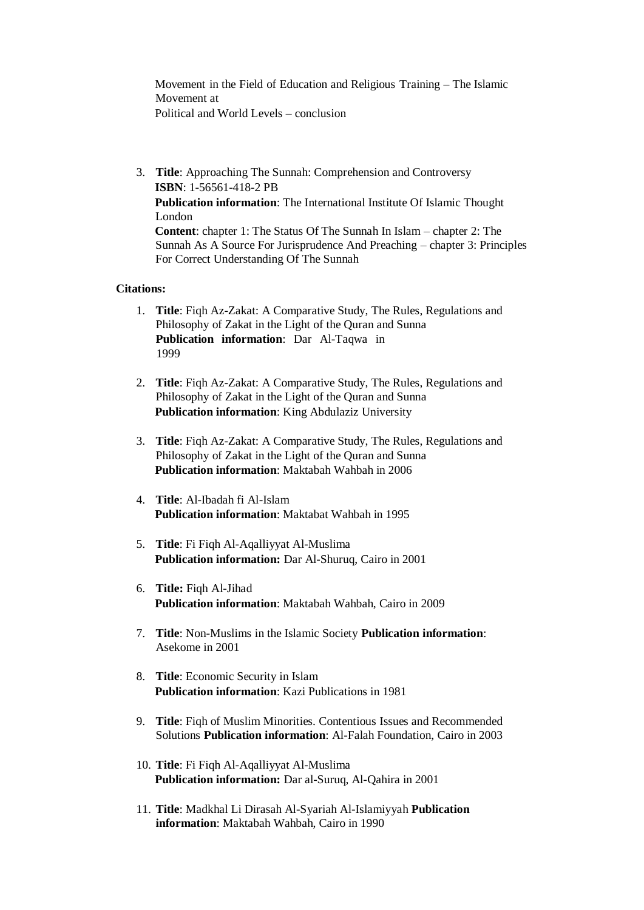Movement in the Field of Education and Religious Training – The Islamic Movement at Political and World Levels – conclusion

3. **Title**: Approaching The Sunnah: Comprehension and Controversy **ISBN**: 1-56561-418-2 PB **Publication information**: The International Institute Of Islamic Thought London **Content**: chapter 1: The Status Of The Sunnah In Islam – chapter 2: The Sunnah As A Source For Jurisprudence And Preaching – chapter 3: Principles For Correct Understanding Of The Sunnah

## **Citations:**

- 1. **Title**: Fiqh Az-Zakat: A Comparative Study, The Rules, Regulations and Philosophy of Zakat in the Light of the Quran and Sunna **Publication information**: Dar Al-Taqwa in 1999
- 2. **Title**: Fiqh Az-Zakat: A Comparative Study, The Rules, Regulations and Philosophy of Zakat in the Light of the Quran and Sunna **Publication information**: King Abdulaziz University
- 3. **Title**: Fiqh Az-Zakat: A Comparative Study, The Rules, Regulations and Philosophy of Zakat in the Light of the Quran and Sunna **Publication information**: Maktabah Wahbah in 2006
- 4. **Title**: Al-Ibadah fi Al-Islam **Publication information**: Maktabat Wahbah in 1995
- 5. **Title**: Fi Fiqh Al-Aqalliyyat Al-Muslima **Publication information:** Dar Al-Shuruq, Cairo in 2001
- 6. **Title:** Fiqh Al-Jihad **Publication information**: Maktabah Wahbah, Cairo in 2009
- 7. **Title**: Non-Muslims in the Islamic Society **Publication information**: Asekome in 2001
- 8. **Title**: Economic Security in Islam **Publication information**: Kazi Publications in 1981
- 9. **Title**: Fiqh of Muslim Minorities. Contentious Issues and Recommended Solutions **Publication information**: Al-Falah Foundation, Cairo in 2003
- 10. **Title**: Fi Fiqh Al-Aqalliyyat Al-Muslima **Publication information:** Dar al-Suruq, Al-Qahira in 2001
- 11. **Title**: Madkhal Li Dirasah Al-Syariah Al-Islamiyyah **Publication information**: Maktabah Wahbah, Cairo in 1990